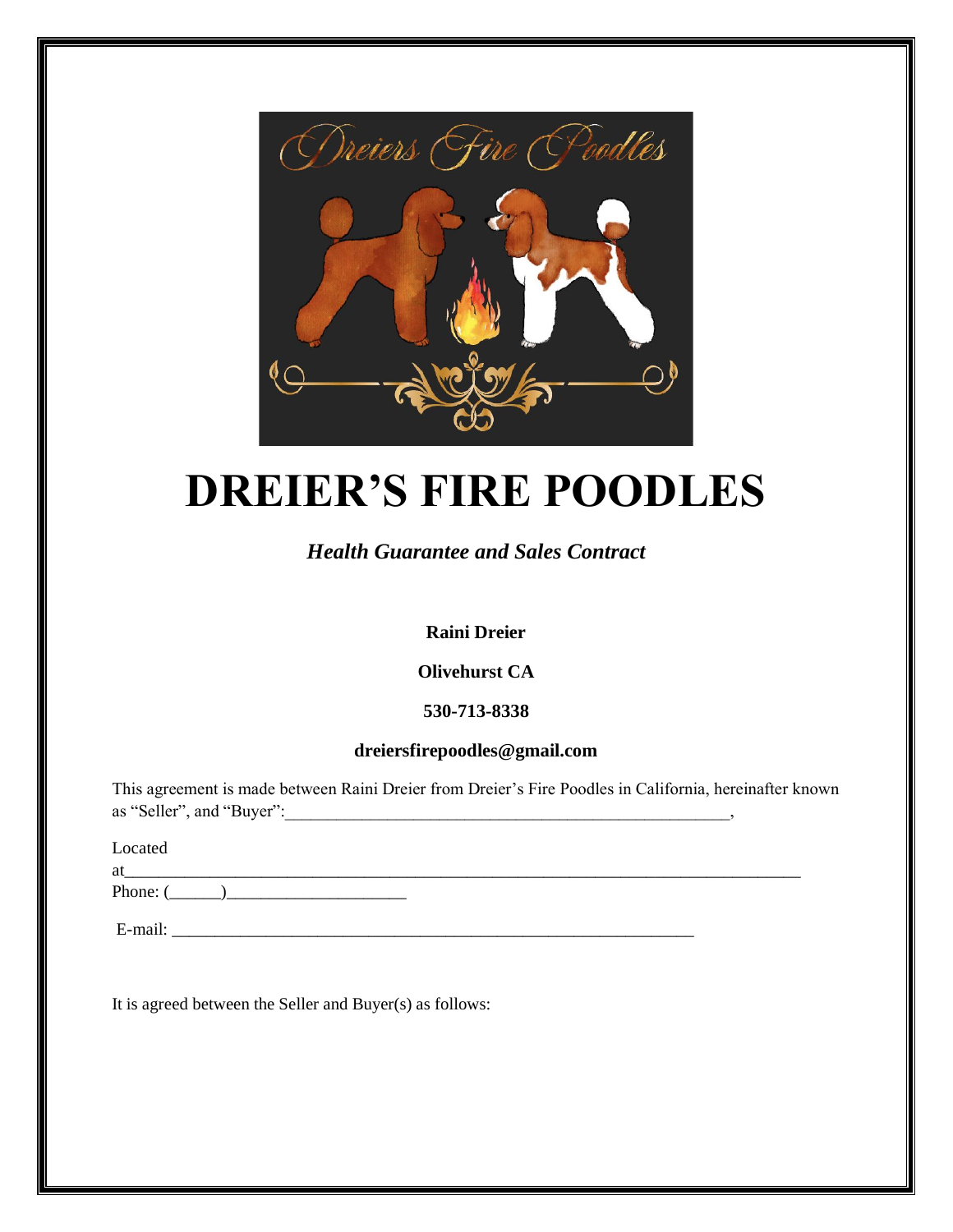

# **DREIER'S FIRE POODLES**

## *Health Guarantee and Sales Contract*

## **Raini Dreier**

## **Olivehurst CA**

## **530-713-8338**

## **dreiersfirepoodles@gmail.com**

This agreement is made between Raini Dreier from Dreier's Fire Poodles in California, hereinafter known as "Seller", and "Buyer":

Located

at\_\_\_\_\_\_\_\_\_\_\_\_\_\_\_\_\_\_\_\_\_\_\_\_\_\_\_\_\_\_\_\_\_\_\_\_\_\_\_\_\_\_\_\_\_\_\_\_\_\_\_\_\_\_\_\_\_\_\_\_\_\_\_\_\_\_\_\_\_\_\_\_\_\_\_\_\_\_\_

Phone:  $($   $)$ 

 $E$ -mail:  $\Box$ 

It is agreed between the Seller and Buyer(s) as follows: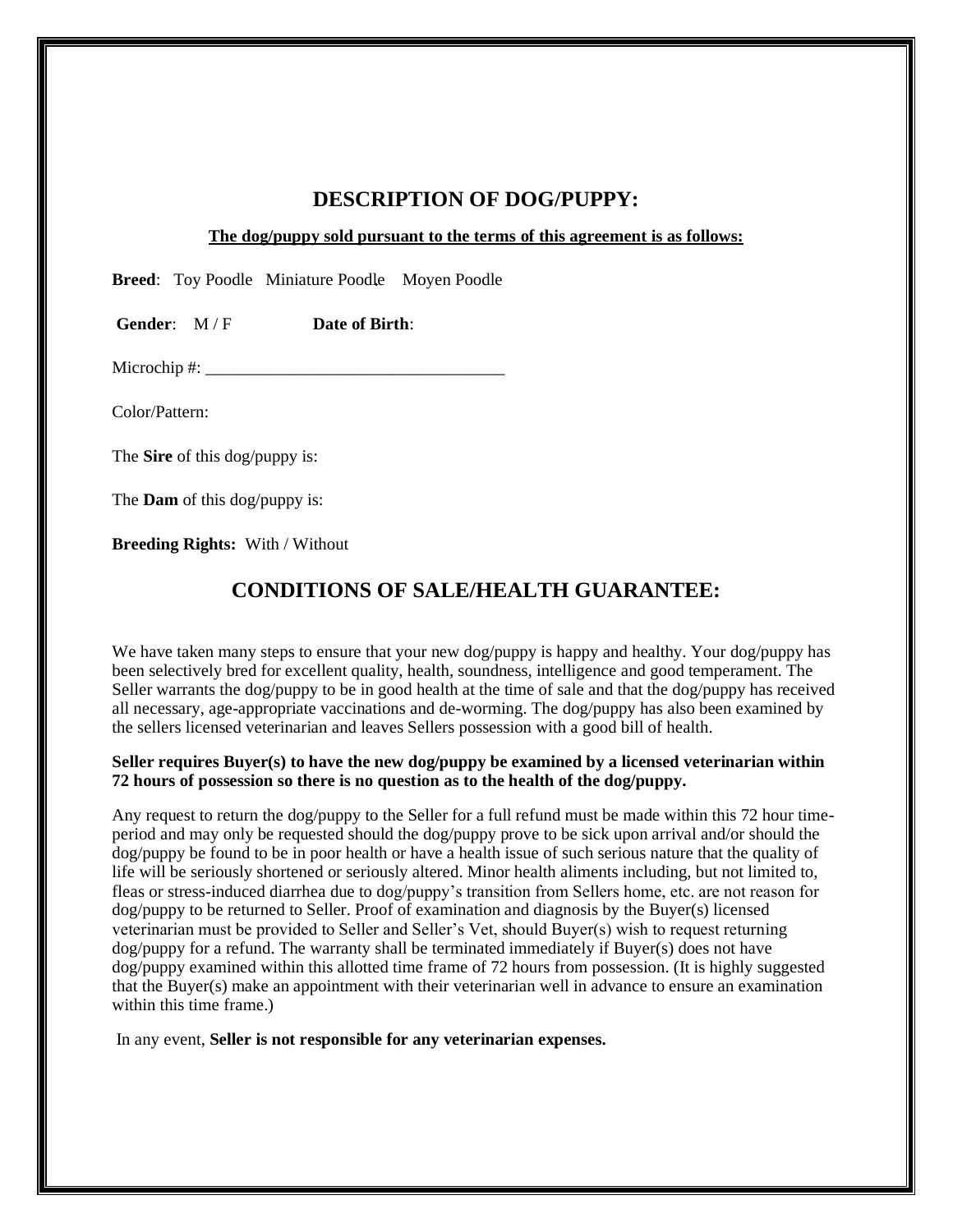## **DESCRIPTION OF DOG/PUPPY:**

**The dog/puppy sold pursuant to the terms of this agreement is as follows:**

**Breed**: Toy Poodle Miniature Poodle Moyen Poodle

**Gender**: M / F **Date of Birth**:

Microchip #: \_\_\_\_\_\_\_\_\_\_\_\_\_\_\_\_\_\_\_\_\_\_\_\_\_\_\_\_\_\_\_\_\_\_\_

Color/Pattern:

The **Sire** of this dog/puppy is:

The **Dam** of this dog/puppy is:

**Breeding Rights:** With / Without

## **CONDITIONS OF SALE/HEALTH GUARANTEE:**

We have taken many steps to ensure that your new dog/puppy is happy and healthy. Your dog/puppy has been selectively bred for excellent quality, health, soundness, intelligence and good temperament. The Seller warrants the dog/puppy to be in good health at the time of sale and that the dog/puppy has received all necessary, age-appropriate vaccinations and de-worming. The dog/puppy has also been examined by the sellers licensed veterinarian and leaves Sellers possession with a good bill of health.

#### **Seller requires Buyer(s) to have the new dog/puppy be examined by a licensed veterinarian within 72 hours of possession so there is no question as to the health of the dog/puppy.**

Any request to return the dog/puppy to the Seller for a full refund must be made within this 72 hour timeperiod and may only be requested should the dog/puppy prove to be sick upon arrival and/or should the dog/puppy be found to be in poor health or have a health issue of such serious nature that the quality of life will be seriously shortened or seriously altered. Minor health aliments including, but not limited to, fleas or stress-induced diarrhea due to dog/puppy's transition from Sellers home, etc. are not reason for dog/puppy to be returned to Seller. Proof of examination and diagnosis by the Buyer(s) licensed veterinarian must be provided to Seller and Seller's Vet, should Buyer(s) wish to request returning dog/puppy for a refund. The warranty shall be terminated immediately if Buyer(s) does not have dog/puppy examined within this allotted time frame of 72 hours from possession. (It is highly suggested that the Buyer(s) make an appointment with their veterinarian well in advance to ensure an examination within this time frame.)

In any event, **Seller is not responsible for any veterinarian expenses.**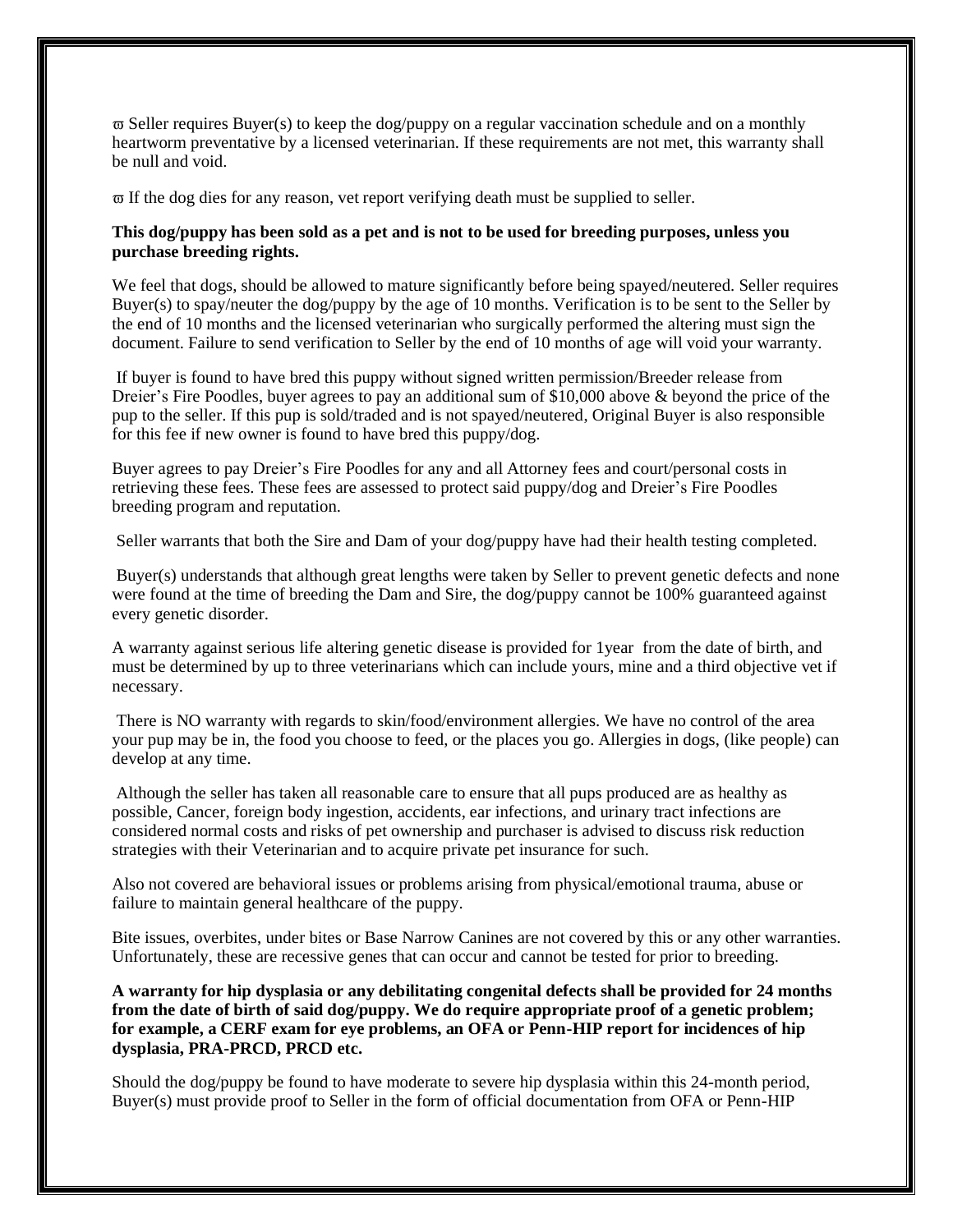$\overline{\omega}$  Seller requires Buyer(s) to keep the dog/puppy on a regular vaccination schedule and on a monthly heartworm preventative by a licensed veterinarian. If these requirements are not met, this warranty shall be null and void.

 $\overline{\omega}$  If the dog dies for any reason, vet report verifying death must be supplied to seller.

#### **This dog/puppy has been sold as a pet and is not to be used for breeding purposes, unless you purchase breeding rights.**

We feel that dogs, should be allowed to mature significantly before being spayed/neutered. Seller requires Buyer(s) to spay/neuter the dog/puppy by the age of 10 months. Verification is to be sent to the Seller by the end of 10 months and the licensed veterinarian who surgically performed the altering must sign the document. Failure to send verification to Seller by the end of 10 months of age will void your warranty.

If buyer is found to have bred this puppy without signed written permission/Breeder release from Dreier's Fire Poodles, buyer agrees to pay an additional sum of \$10,000 above & beyond the price of the pup to the seller. If this pup is sold/traded and is not spayed/neutered, Original Buyer is also responsible for this fee if new owner is found to have bred this puppy/dog.

Buyer agrees to pay Dreier's Fire Poodles for any and all Attorney fees and court/personal costs in retrieving these fees. These fees are assessed to protect said puppy/dog and Dreier's Fire Poodles breeding program and reputation.

Seller warrants that both the Sire and Dam of your dog/puppy have had their health testing completed.

Buyer(s) understands that although great lengths were taken by Seller to prevent genetic defects and none were found at the time of breeding the Dam and Sire, the dog/puppy cannot be 100% guaranteed against every genetic disorder.

A warranty against serious life altering genetic disease is provided for 1year from the date of birth, and must be determined by up to three veterinarians which can include yours, mine and a third objective vet if necessary.

There is NO warranty with regards to skin/food/environment allergies. We have no control of the area your pup may be in, the food you choose to feed, or the places you go. Allergies in dogs, (like people) can develop at any time.

Although the seller has taken all reasonable care to ensure that all pups produced are as healthy as possible, Cancer, foreign body ingestion, accidents, ear infections, and urinary tract infections are considered normal costs and risks of pet ownership and purchaser is advised to discuss risk reduction strategies with their Veterinarian and to acquire private pet insurance for such.

Also not covered are behavioral issues or problems arising from physical/emotional trauma, abuse or failure to maintain general healthcare of the puppy.

Bite issues, overbites, under bites or Base Narrow Canines are not covered by this or any other warranties. Unfortunately, these are recessive genes that can occur and cannot be tested for prior to breeding.

**A warranty for hip dysplasia or any debilitating congenital defects shall be provided for 24 months from the date of birth of said dog/puppy. We do require appropriate proof of a genetic problem; for example, a CERF exam for eye problems, an OFA or Penn-HIP report for incidences of hip dysplasia, PRA-PRCD, PRCD etc.** 

Should the dog/puppy be found to have moderate to severe hip dysplasia within this 24-month period, Buyer(s) must provide proof to Seller in the form of official documentation from OFA or Penn-HIP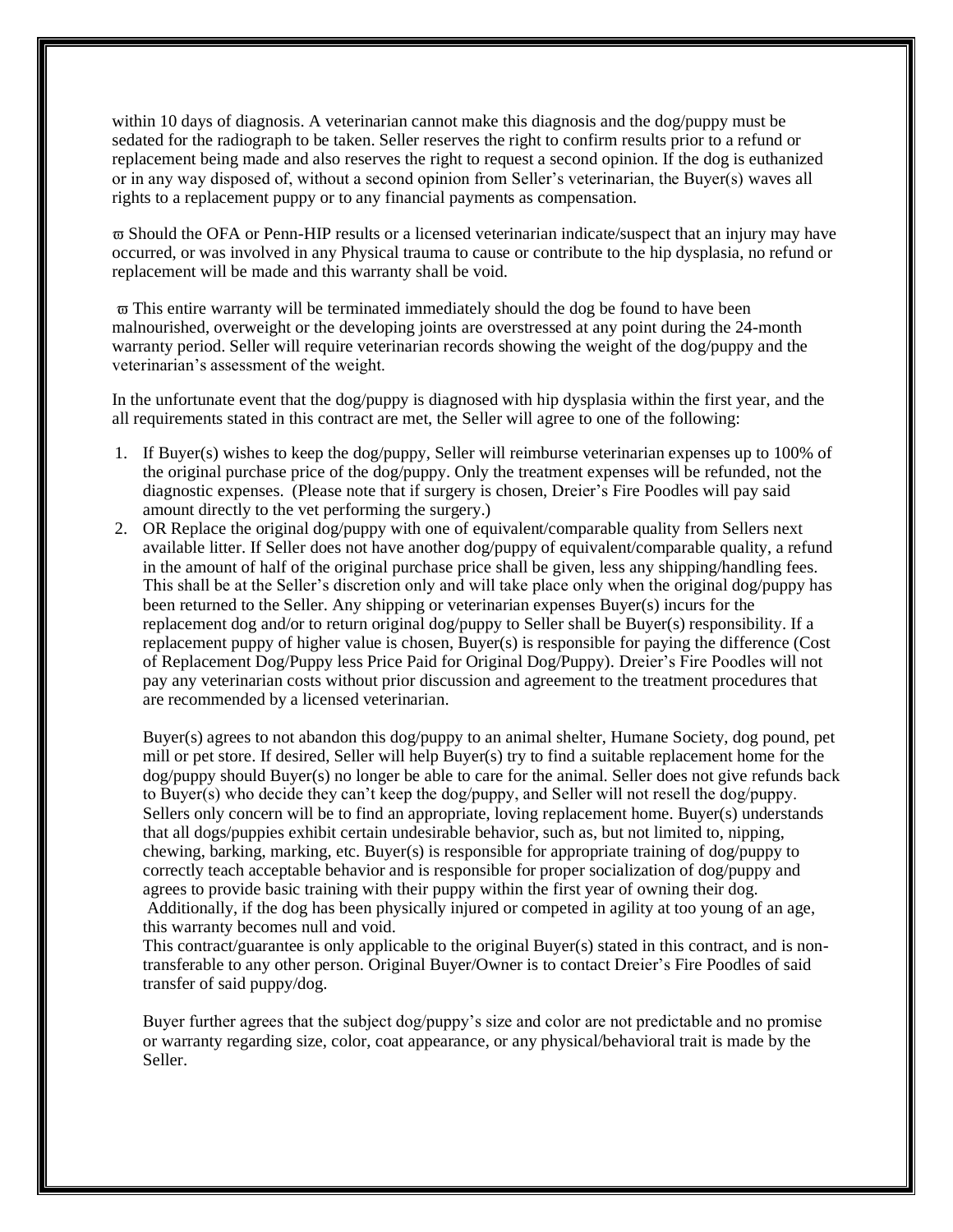within 10 days of diagnosis. A veterinarian cannot make this diagnosis and the dog/puppy must be sedated for the radiograph to be taken. Seller reserves the right to confirm results prior to a refund or replacement being made and also reserves the right to request a second opinion. If the dog is euthanized or in any way disposed of, without a second opinion from Seller's veterinarian, the Buyer(s) waves all rights to a replacement puppy or to any financial payments as compensation.

 Should the OFA or Penn-HIP results or a licensed veterinarian indicate/suspect that an injury may have occurred, or was involved in any Physical trauma to cause or contribute to the hip dysplasia, no refund or replacement will be made and this warranty shall be void.

 $\overline{\omega}$  This entire warranty will be terminated immediately should the dog be found to have been malnourished, overweight or the developing joints are overstressed at any point during the 24-month warranty period. Seller will require veterinarian records showing the weight of the dog/puppy and the veterinarian's assessment of the weight.

In the unfortunate event that the dog/puppy is diagnosed with hip dysplasia within the first year, and the all requirements stated in this contract are met, the Seller will agree to one of the following:

- 1. If Buyer(s) wishes to keep the dog/puppy, Seller will reimburse veterinarian expenses up to 100% of the original purchase price of the dog/puppy. Only the treatment expenses will be refunded, not the diagnostic expenses. (Please note that if surgery is chosen, Dreier's Fire Poodles will pay said amount directly to the vet performing the surgery.)
- 2. OR Replace the original dog/puppy with one of equivalent/comparable quality from Sellers next available litter. If Seller does not have another dog/puppy of equivalent/comparable quality, a refund in the amount of half of the original purchase price shall be given, less any shipping/handling fees. This shall be at the Seller's discretion only and will take place only when the original dog/puppy has been returned to the Seller. Any shipping or veterinarian expenses Buyer(s) incurs for the replacement dog and/or to return original dog/puppy to Seller shall be Buyer(s) responsibility. If a replacement puppy of higher value is chosen, Buyer(s) is responsible for paying the difference (Cost of Replacement Dog/Puppy less Price Paid for Original Dog/Puppy). Dreier's Fire Poodles will not pay any veterinarian costs without prior discussion and agreement to the treatment procedures that are recommended by a licensed veterinarian.

Buyer(s) agrees to not abandon this dog/puppy to an animal shelter, Humane Society, dog pound, pet mill or pet store. If desired, Seller will help Buyer(s) try to find a suitable replacement home for the dog/puppy should Buyer(s) no longer be able to care for the animal. Seller does not give refunds back to Buyer(s) who decide they can't keep the dog/puppy, and Seller will not resell the dog/puppy. Sellers only concern will be to find an appropriate, loving replacement home. Buyer(s) understands that all dogs/puppies exhibit certain undesirable behavior, such as, but not limited to, nipping, chewing, barking, marking, etc. Buyer(s) is responsible for appropriate training of dog/puppy to correctly teach acceptable behavior and is responsible for proper socialization of dog/puppy and agrees to provide basic training with their puppy within the first year of owning their dog. Additionally, if the dog has been physically injured or competed in agility at too young of an age, this warranty becomes null and void.

This contract/guarantee is only applicable to the original Buyer(s) stated in this contract, and is nontransferable to any other person. Original Buyer/Owner is to contact Dreier's Fire Poodles of said transfer of said puppy/dog.

Buyer further agrees that the subject dog/puppy's size and color are not predictable and no promise or warranty regarding size, color, coat appearance, or any physical/behavioral trait is made by the Seller.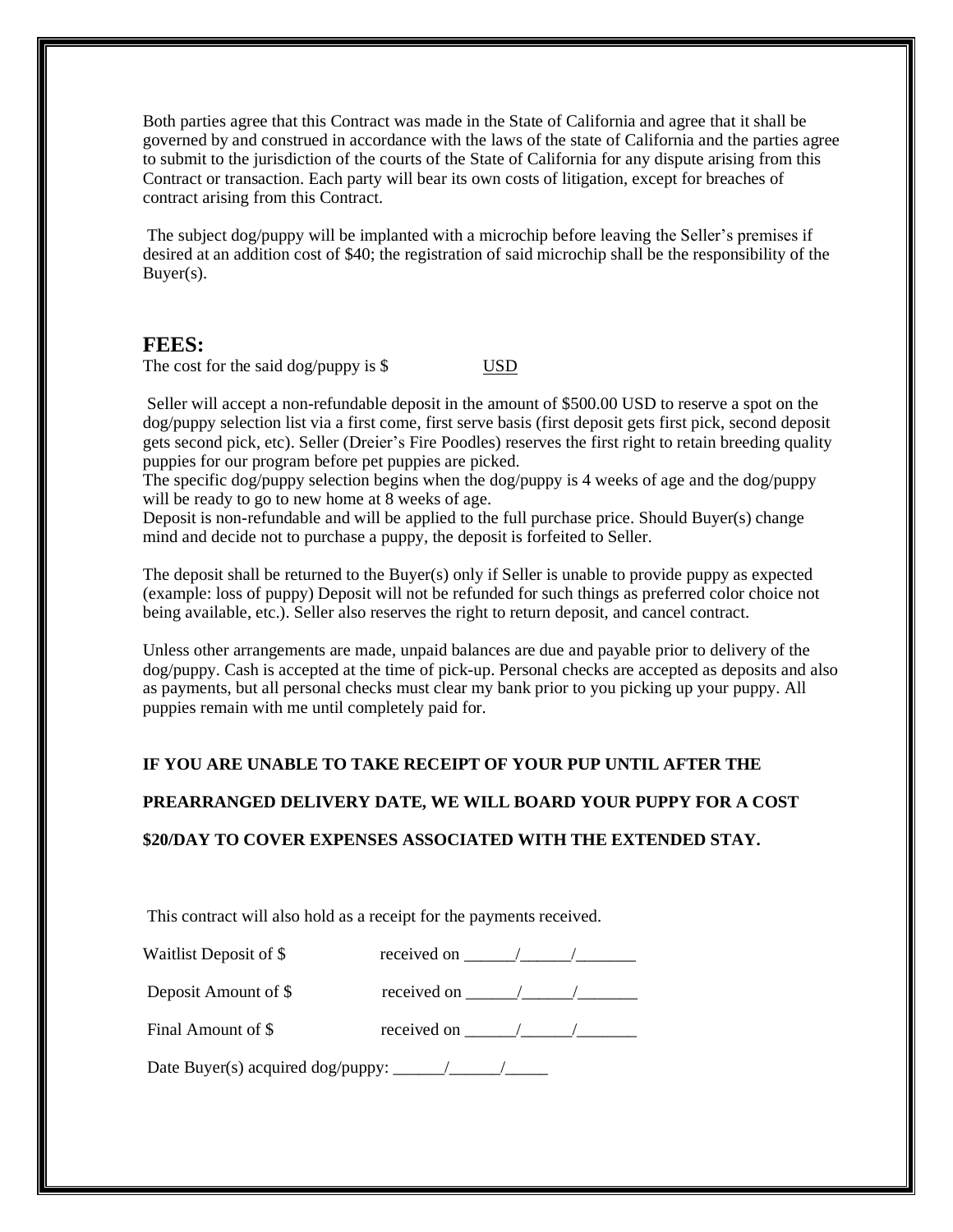Both parties agree that this Contract was made in the State of California and agree that it shall be governed by and construed in accordance with the laws of the state of California and the parties agree to submit to the jurisdiction of the courts of the State of California for any dispute arising from this Contract or transaction. Each party will bear its own costs of litigation, except for breaches of contract arising from this Contract.

The subject dog/puppy will be implanted with a microchip before leaving the Seller's premises if desired at an addition cost of \$40; the registration of said microchip shall be the responsibility of the Buyer(s).

#### **FEES:**

The cost for the said dog/puppy is  $\$\qquad \qquad \text{USD}$ 

Seller will accept a non-refundable deposit in the amount of \$500.00 USD to reserve a spot on the dog/puppy selection list via a first come, first serve basis (first deposit gets first pick, second deposit gets second pick, etc). Seller (Dreier's Fire Poodles) reserves the first right to retain breeding quality puppies for our program before pet puppies are picked.

The specific dog/puppy selection begins when the dog/puppy is 4 weeks of age and the dog/puppy will be ready to go to new home at 8 weeks of age.

Deposit is non-refundable and will be applied to the full purchase price. Should Buyer(s) change mind and decide not to purchase a puppy, the deposit is forfeited to Seller.

The deposit shall be returned to the Buyer(s) only if Seller is unable to provide puppy as expected (example: loss of puppy) Deposit will not be refunded for such things as preferred color choice not being available, etc.). Seller also reserves the right to return deposit, and cancel contract.

Unless other arrangements are made, unpaid balances are due and payable prior to delivery of the dog/puppy. Cash is accepted at the time of pick-up. Personal checks are accepted as deposits and also as payments, but all personal checks must clear my bank prior to you picking up your puppy. All puppies remain with me until completely paid for.

#### **IF YOU ARE UNABLE TO TAKE RECEIPT OF YOUR PUP UNTIL AFTER THE**

#### **PREARRANGED DELIVERY DATE, WE WILL BOARD YOUR PUPPY FOR A COST**

#### **\$20/DAY TO COVER EXPENSES ASSOCIATED WITH THE EXTENDED STAY.**

This contract will also hold as a receipt for the payments received.

| Waitlist Deposit of \$ | received on |  |
|------------------------|-------------|--|
| Deposit Amount of \$   | received on |  |
| Final Amount of \$     | received on |  |

Date Buyer(s) acquired dog/puppy: \_\_\_\_\_\_/\_\_\_\_\_\_/\_\_\_\_\_